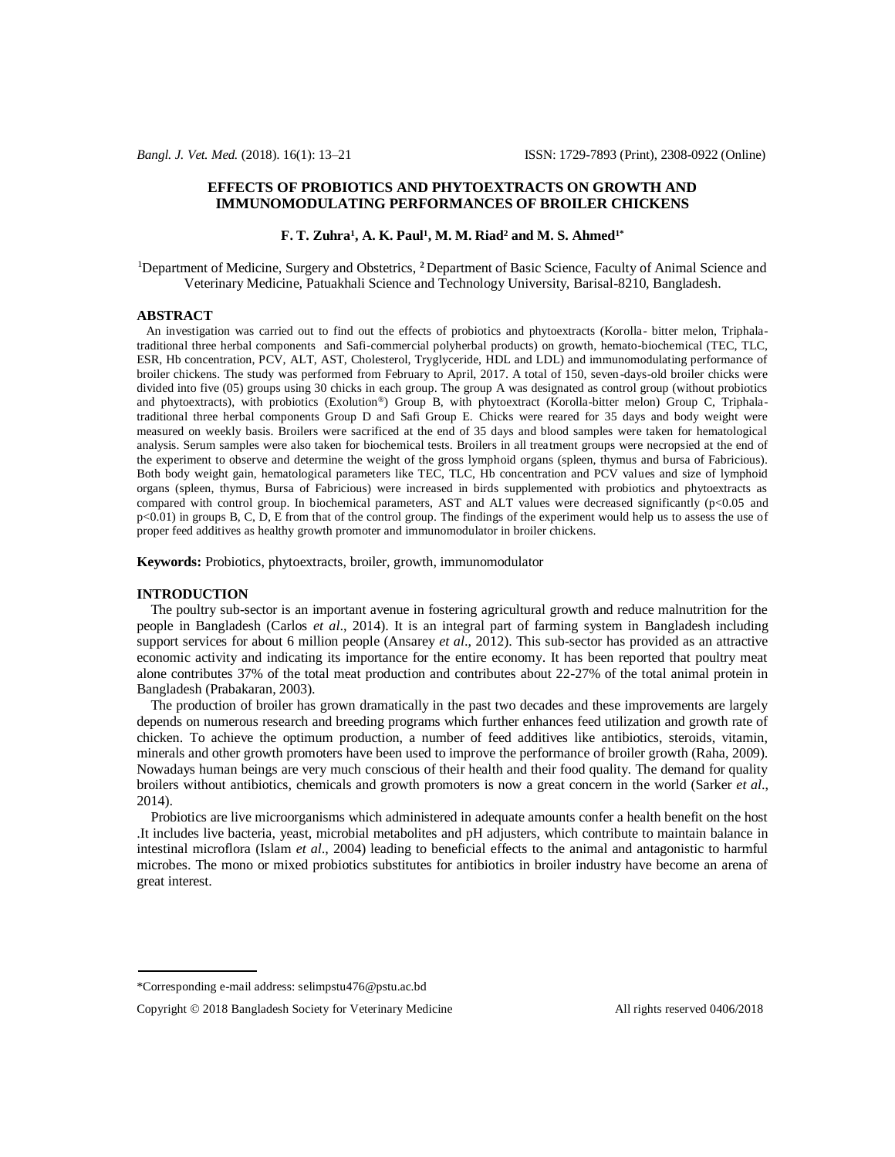# **EFFECTS OF PROBIOTICS AND PHYTOEXTRACTS ON GROWTH AND IMMUNOMODULATING PERFORMANCES OF BROILER CHICKENS**

## **F. T. Zuhra<sup>1</sup> , A. K. Paul<sup>1</sup> , M. M. Riad<sup>2</sup> and M. S. Ahmed1\***

<sup>1</sup>Department of Medicine, Surgery and Obstetrics, **<sup>2</sup>**Department of Basic Science, Faculty of Animal Science and Veterinary Medicine, Patuakhali Science and Technology University, Barisal-8210, Bangladesh.

#### **ABSTRACT**

 An investigation was carried out to find out the effects of probiotics and phytoextracts (Korolla- bitter melon, Triphalatraditional three herbal components and Safi-commercial polyherbal products) on growth, hemato-biochemical (TEC, TLC, ESR, Hb concentration, PCV, ALT, AST, Cholesterol, Tryglyceride, HDL and LDL) and immunomodulating performance of broiler chickens. The study was performed from February to April, 2017. A total of 150, seven -days-old broiler chicks were divided into five (05) groups using 30 chicks in each group. The group A was designated as control group (without probiotics and phytoextracts), with probiotics (Exolution®) Group B, with phytoextract (Korolla-bitter melon) Group C, Triphalatraditional three herbal components Group D and Safi Group E. Chicks were reared for 35 days and body weight were measured on weekly basis. Broilers were sacrificed at the end of 35 days and blood samples were taken for hematological analysis. Serum samples were also taken for biochemical tests. Broilers in all treatment groups were necropsied at the end of the experiment to observe and determine the weight of the gross lymphoid organs (spleen, thymus and bursa of Fabricious). Both body weight gain, hematological parameters like TEC, TLC, Hb concentration and PCV values and size of lymphoid organs (spleen, thymus, Bursa of Fabricious) were increased in birds supplemented with probiotics and phytoextracts as compared with control group. In biochemical parameters, AST and ALT values were decreased significantly (p<0.05 and p<0.01) in groups B, C, D, E from that of the control group. The findings of the experiment would help us to assess the use of proper feed additives as healthy growth promoter and immunomodulator in broiler chickens.

**Keywords:** Probiotics, phytoextracts, broiler, growth, immunomodulator

### **INTRODUCTION**

 The poultry sub-sector is an important avenue in fostering agricultural growth and reduce malnutrition for the people in Bangladesh (Carlos *et al*., 2014). It is an integral part of farming system in Bangladesh including support services for about 6 million people (Ansarey *et al*., 2012). This sub-sector has provided as an attractive economic activity and indicating its importance for the entire economy. It has been reported that poultry meat alone contributes 37% of the total meat production and contributes about 22-27% of the total animal protein in Bangladesh (Prabakaran, 2003).

 The production of broiler has grown dramatically in the past two decades and these improvements are largely depends on numerous research and breeding programs which further enhances feed utilization and growth rate of chicken. To achieve the optimum production, a number of feed additives like antibiotics, steroids, vitamin, minerals and other growth promoters have been used to improve the performance of broiler growth (Raha, 2009). Nowadays human beings are very much conscious of their health and their food quality. The demand for quality broilers without antibiotics, chemicals and growth promoters is now a great concern in the world (Sarker *et al*., 2014).

 Probiotics are live microorganisms which administered in adequate amounts confer a health benefit on the host .It includes live bacteria, yeast, microbial metabolites and pH adjusters, which contribute to maintain balance in intestinal microflora (Islam *et al*., 2004) leading to beneficial effects to the animal and antagonistic to harmful microbes. The mono or mixed probiotics substitutes for antibiotics in broiler industry have become an arena of great interest.

<sup>\*</sup>Corresponding e-mail address: [selimpstu476@pstu.ac.bd](mailto:selimpstu476@pstu.ac.bd)

Copyright © 2018 Bangladesh Society for Veterinary Medicine All rights reserved 0406/2018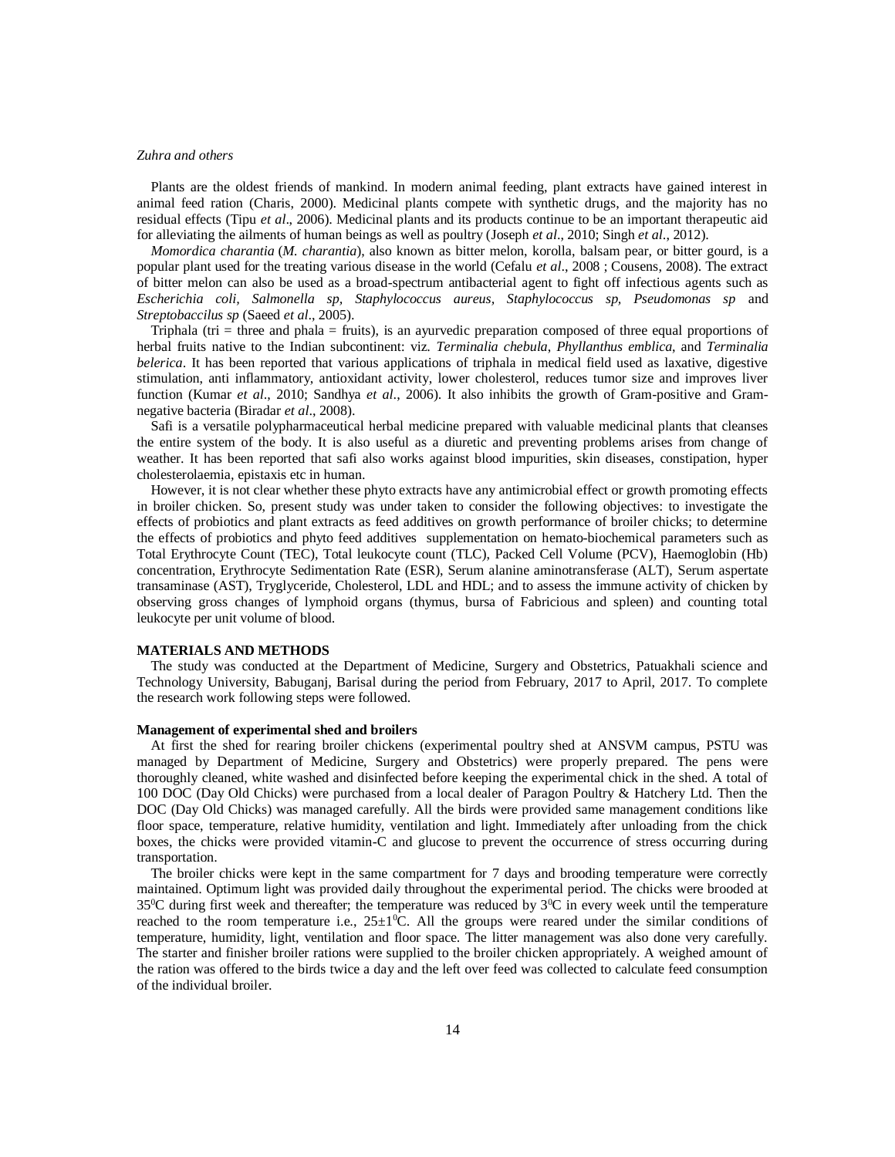Plants are the oldest friends of mankind. In modern animal feeding, plant extracts have gained interest in animal feed ration (Charis, 2000). Medicinal plants compete with synthetic drugs, and the majority has no residual effects (Tipu *et al*., 2006). Medicinal plants and its products continue to be an important therapeutic aid for alleviating the ailments of human beings as well as poultry (Joseph *et al*., 2010; Singh *et al*., 2012).

 *Momordica charantia* (*M. charantia*), also known as bitter melon, korolla, balsam pear, or bitter gourd, is a popular plant used for the treating various disease in the world (Cefalu *et al*., 2008 ; Cousens, 2008). The extract of bitter melon can also be used as a broad-spectrum antibacterial agent to fight off infectious agents such as *Escherichia coli, Salmonella sp, Staphylococcus aureus, Staphylococcus sp, Pseudomonas sp* and *Streptobaccilus sp* (Saeed *et al*., 2005).

 Triphala (tri = three and phala = fruits), is an ayurvedic preparation composed of three equal proportions of herbal fruits native to the Indian subcontinent: viz. *Terminalia chebula*, *Phyllanthus emblica*, and *Terminalia belerica*. It has been reported that various applications of triphala in medical field used as laxative, digestive stimulation, anti inflammatory, antioxidant activity, lower cholesterol, reduces tumor size and improves liver function (Kumar *et al*., 2010; Sandhya *et al*., 2006). It also inhibits the growth of Gram-positive and Gramnegative bacteria (Biradar *et al*., 2008).

 Safi is a versatile polypharmaceutical herbal medicine prepared with valuable medicinal plants that cleanses the entire system of the body. It is also useful as a diuretic and preventing problems arises from change of weather. It has been reported that safi also works against blood impurities, skin diseases, constipation, hyper cholesterolaemia*,* epistaxis etc in human.

 However, it is not clear whether these phyto extracts have any antimicrobial effect or growth promoting effects in broiler chicken. So, present study was under taken to consider the following objectives: to investigate the effects of probiotics and plant extracts as feed additives on growth performance of broiler chicks; to determine the effects of probiotics and phyto feed additives supplementation on hemato-biochemical parameters such as Total Erythrocyte Count (TEC), Total leukocyte count (TLC), Packed Cell Volume (PCV), Haemoglobin (Hb) concentration, Erythrocyte Sedimentation Rate (ESR), Serum alanine aminotransferase (ALT), Serum aspertate transaminase (AST), Tryglyceride, Cholesterol, LDL and HDL; and to assess the immune activity of chicken by observing gross changes of lymphoid organs (thymus, bursa of Fabricious and spleen) and counting total leukocyte per unit volume of blood.

## **MATERIALS AND METHODS**

 The study was conducted at the Department of Medicine, Surgery and Obstetrics, Patuakhali science and Technology University, Babuganj, Barisal during the period from February, 2017 to April, 2017. To complete the research work following steps were followed.

## **Management of experimental shed and broilers**

 At first the shed for rearing broiler chickens (experimental poultry shed at ANSVM campus, PSTU was managed by Department of Medicine, Surgery and Obstetrics) were properly prepared. The pens were thoroughly cleaned, white washed and disinfected before keeping the experimental chick in the shed. A total of 100 DOC (Day Old Chicks) were purchased from a local dealer of Paragon Poultry & Hatchery Ltd. Then the DOC (Day Old Chicks) was managed carefully. All the birds were provided same management conditions like floor space, temperature, relative humidity, ventilation and light. Immediately after unloading from the chick boxes, the chicks were provided vitamin-C and glucose to prevent the occurrence of stress occurring during transportation.

 The broiler chicks were kept in the same compartment for 7 days and brooding temperature were correctly maintained. Optimum light was provided daily throughout the experimental period. The chicks were brooded at  $35^{\circ}$ C during first week and thereafter; the temperature was reduced by  $3^{\circ}$ C in every week until the temperature reached to the room temperature i.e.,  $25\pm1$ <sup>o</sup>C. All the groups were reared under the similar conditions of temperature, humidity, light, ventilation and floor space. The litter management was also done very carefully. The starter and finisher broiler rations were supplied to the broiler chicken appropriately. A weighed amount of the ration was offered to the birds twice a day and the left over feed was collected to calculate feed consumption of the individual broiler.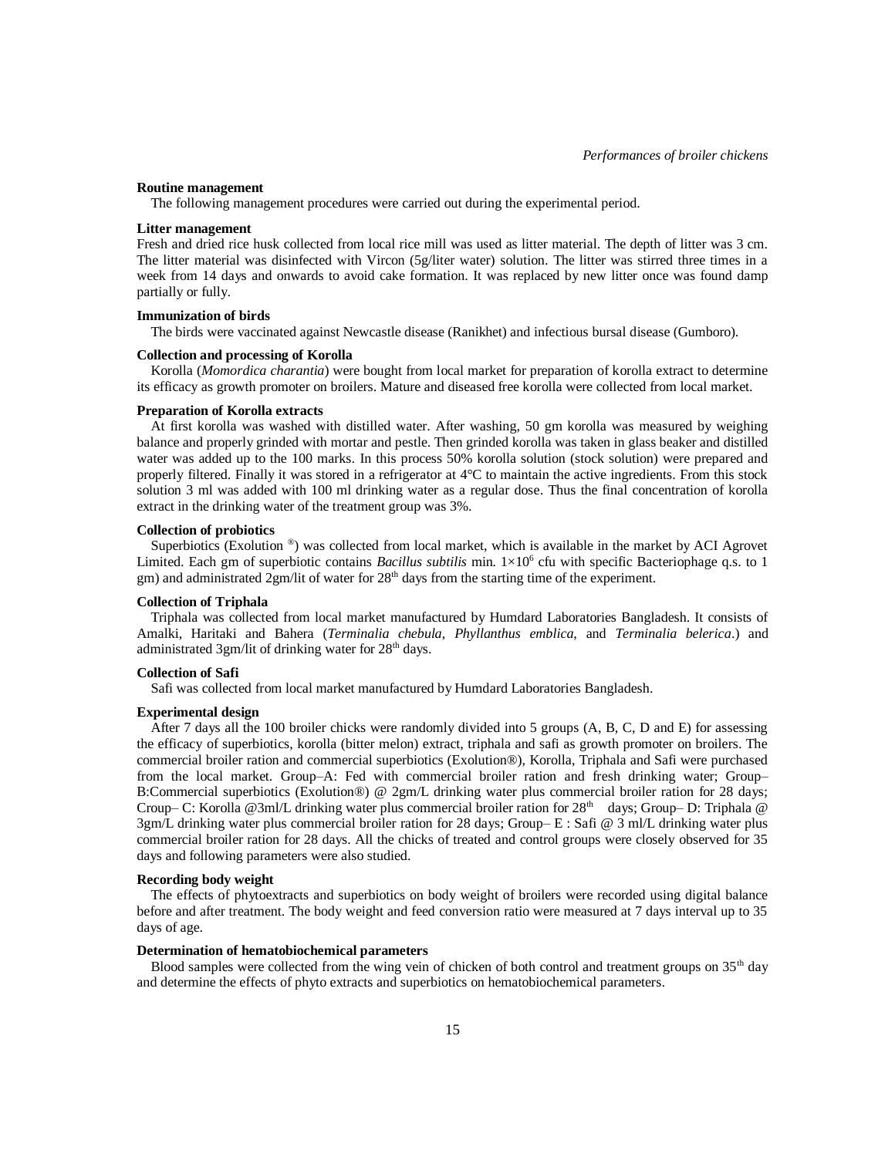### **Routine management**

The following management procedures were carried out during the experimental period.

## **Litter management**

Fresh and dried rice husk collected from local rice mill was used as litter material. The depth of litter was 3 cm. The litter material was disinfected with Vircon (5g/liter water) solution. The litter was stirred three times in a week from 14 days and onwards to avoid cake formation. It was replaced by new litter once was found damp partially or fully.

#### **Immunization of birds**

The birds were vaccinated against Newcastle disease (Ranikhet) and infectious bursal disease (Gumboro).

## **Collection and processing of Korolla**

 Korolla (*Momordica charantia*) were bought from local market for preparation of korolla extract to determine its efficacy as growth promoter on broilers. Mature and diseased free korolla were collected from local market.

### **Preparation of Korolla extracts**

 At first korolla was washed with distilled water. After washing, 50 gm korolla was measured by weighing balance and properly grinded with mortar and pestle. Then grinded korolla was taken in glass beaker and distilled water was added up to the 100 marks. In this process 50% korolla solution (stock solution) were prepared and properly filtered. Finally it was stored in a refrigerator at 4°C to maintain the active ingredients. From this stock solution 3 ml was added with 100 ml drinking water as a regular dose. Thus the final concentration of korolla extract in the drinking water of the treatment group was 3%.

# **Collection of probiotics**

 Superbiotics (Exolution ® ) was collected from local market, which is available in the market by ACI Agrovet Limited. Each gm of superbiotic contains *Bacillus subtilis* min.  $1 \times 10^6$  cfu with specific Bacteriophage q.s. to 1 gm) and administrated  $2gm/l$  it of water for  $28<sup>th</sup>$  days from the starting time of the experiment.

## **Collection of Triphala**

 Triphala was collected from local market manufactured by Humdard Laboratories Bangladesh. It consists of Amalki, Haritaki and Bahera (*Terminalia chebula*, *Phyllanthus emblica*, and *Terminalia belerica*.) and administrated 3gm/lit of drinking water for 28<sup>th</sup> days.

## **Collection of Safi**

Safi was collected from local market manufactured by Humdard Laboratories Bangladesh.

# **Experimental design**

 After 7 days all the 100 broiler chicks were randomly divided into 5 groups (A, B, C, D and E) for assessing the efficacy of superbiotics, korolla (bitter melon) extract, triphala and safi as growth promoter on broilers. The commercial broiler ration and commercial superbiotics (Exolution®), Korolla, Triphala and Safi were purchased from the local market. Group–A: Fed with commercial broiler ration and fresh drinking water; Group– B:Commercial superbiotics (Exolution®) @ 2gm/L drinking water plus commercial broiler ration for 28 days; Croup– C: Korolla @3ml/L drinking water plus commercial broiler ration for  $28<sup>th</sup>$  days; Group– D: Triphala @ 3gm/L drinking water plus commercial broiler ration for 28 days; Group– E : Safi @ 3 ml/L drinking water plus commercial broiler ration for 28 days. All the chicks of treated and control groups were closely observed for 35 days and following parameters were also studied.

#### **Recording body weight**

 The effects of phytoextracts and superbiotics on body weight of broilers were recorded using digital balance before and after treatment. The body weight and feed conversion ratio were measured at 7 days interval up to 35 days of age.

## **Determination of hematobiochemical parameters**

Blood samples were collected from the wing vein of chicken of both control and treatment groups on  $35<sup>th</sup>$  day and determine the effects of phyto extracts and superbiotics on hematobiochemical parameters.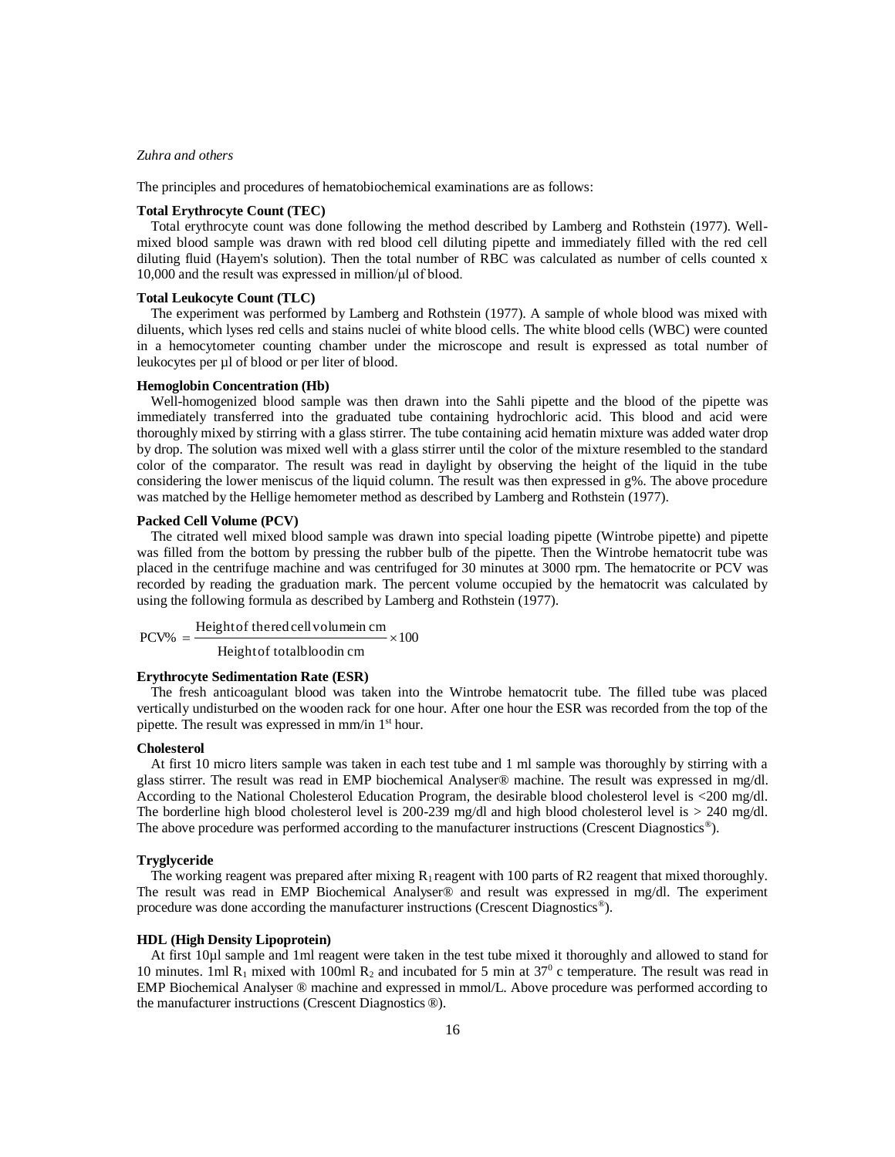The principles and procedures of hematobiochemical examinations are as follows:

## **Total Erythrocyte Count (TEC)**

 Total erythrocyte count was done following the method described by Lamberg and Rothstein (1977). Wellmixed blood sample was drawn with red blood cell diluting pipette and immediately filled with the red cell diluting fluid (Hayem's solution). Then the total number of RBC was calculated as number of cells counted x 10,000 and the result was expressed in million/μl of blood.

#### **Total Leukocyte Count (TLC)**

 The experiment was performed by Lamberg and Rothstein (1977). A sample of whole blood was mixed with diluents, which lyses red cells and stains nuclei of white blood cells. The white blood cells (WBC) were counted in a hemocytometer counting chamber under the microscope and result is expressed as total number of leukocytes per µl of blood or per liter of blood.

### **Hemoglobin Concentration (Hb)**

 Well-homogenized blood sample was then drawn into the Sahli pipette and the blood of the pipette was immediately transferred into the graduated tube containing hydrochloric acid. This blood and acid were thoroughly mixed by stirring with a glass stirrer. The tube containing acid hematin mixture was added water drop by drop. The solution was mixed well with a glass stirrer until the color of the mixture resembled to the standard color of the comparator. The result was read in daylight by observing the height of the liquid in the tube considering the lower meniscus of the liquid column. The result was then expressed in g%. The above procedure was matched by the Hellige hemometer method as described by Lamberg and Rothstein (1977).

# **Packed Cell Volume (PCV)**

 The citrated well mixed blood sample was drawn into special loading pipette (Wintrobe pipette) and pipette was filled from the bottom by pressing the rubber bulb of the pipette. Then the Wintrobe hematocrit tube was placed in the centrifuge machine and was centrifuged for 30 minutes at 3000 rpm. The hematocrite or PCV was recorded by reading the graduation mark. The percent volume occupied by the hematocrit was calculated by using the following formula as described by Lamberg and Rothstein (1977).

$$
PCV\% = \frac{Height of the red cell volume in cm}{Height of total blood in cm} \times 100
$$

#### **Erythrocyte Sedimentation Rate (ESR)**

 The fresh anticoagulant blood was taken into the Wintrobe hematocrit tube. The filled tube was placed vertically undisturbed on the wooden rack for one hour. After one hour the ESR was recorded from the top of the pipette. The result was expressed in mm/in 1<sup>st</sup> hour.

## **Cholesterol**

 At first 10 micro liters sample was taken in each test tube and 1 ml sample was thoroughly by stirring with a glass stirrer. The result was read in EMP biochemical Analyser® machine. The result was expressed in mg/dl. According to the National Cholesterol Education Program, the desirable blood cholesterol level is <200 mg/dl. The borderline high blood cholesterol level is  $200-239$  mg/dl and high blood cholesterol level is  $> 240$  mg/dl. The above procedure was performed according to the manufacturer instructions (Crescent Diagnostics® ).

## **Tryglyceride**

The working reagent was prepared after mixing  $R_1$  reagent with 100 parts of R2 reagent that mixed thoroughly. The result was read in EMP Biochemical Analyser® and result was expressed in mg/dl. The experiment procedure was done according the manufacturer instructions (Crescent Diagnostics® ).

### **HDL (High Density Lipoprotein)**

 At first 10µl sample and 1ml reagent were taken in the test tube mixed it thoroughly and allowed to stand for 10 minutes. 1ml  $R_1$  mixed with 100ml  $R_2$  and incubated for 5 min at 37<sup>0</sup> c temperature. The result was read in EMP Biochemical Analyser ® machine and expressed in mmol/L. Above procedure was performed according to the manufacturer instructions (Crescent Diagnostics ®).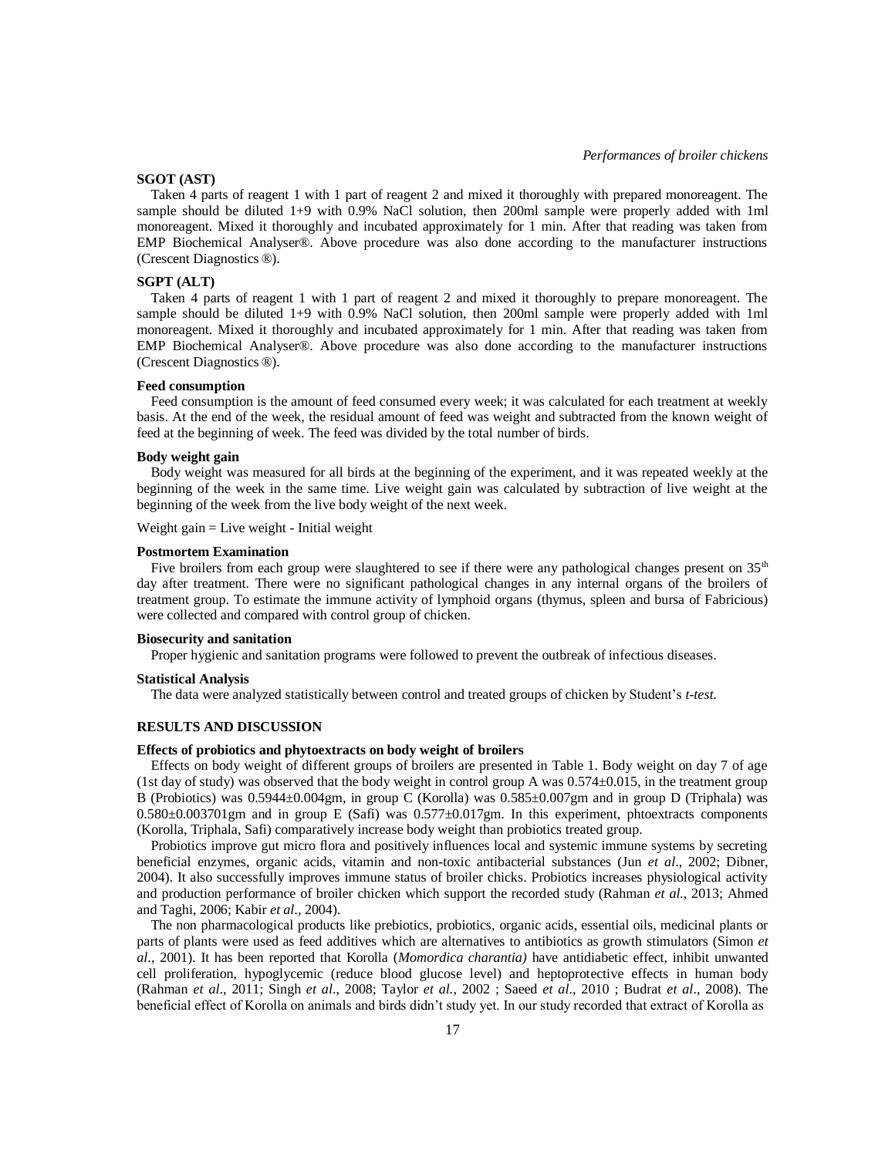## **SGOT (AST)**

 Taken 4 parts of reagent 1 with 1 part of reagent 2 and mixed it thoroughly with prepared monoreagent. The sample should be diluted 1+9 with 0.9% NaCl solution, then 200ml sample were properly added with 1ml monoreagent. Mixed it thoroughly and incubated approximately for 1 min. After that reading was taken from EMP Biochemical Analyser®. Above procedure was also done according to the manufacturer instructions (Crescent Diagnostics ®).

## **SGPT (ALT)**

 Taken 4 parts of reagent 1 with 1 part of reagent 2 and mixed it thoroughly to prepare monoreagent. The sample should be diluted 1+9 with 0.9% NaCl solution, then 200ml sample were properly added with 1ml monoreagent. Mixed it thoroughly and incubated approximately for 1 min. After that reading was taken from EMP Biochemical Analyser®. Above procedure was also done according to the manufacturer instructions (Crescent Diagnostics ®).

### **Feed consumption**

 Feed consumption is the amount of feed consumed every week; it was calculated for each treatment at weekly basis. At the end of the week, the residual amount of feed was weight and subtracted from the known weight of feed at the beginning of week. The feed was divided by the total number of birds.

#### **Body weight gain**

 Body weight was measured for all birds at the beginning of the experiment, and it was repeated weekly at the beginning of the week in the same time. Live weight gain was calculated by subtraction of live weight at the beginning of the week from the live body weight of the next week.

Weight gain  $=$  Live weight - Initial weight

## **Postmortem Examination**

Five broilers from each group were slaughtered to see if there were any pathological changes present on  $35<sup>th</sup>$ day after treatment. There were no significant pathological changes in any internal organs of the broilers of treatment group. To estimate the immune activity of lymphoid organs (thymus, spleen and bursa of Fabricious) were collected and compared with control group of chicken.

#### **Biosecurity and sanitation**

Proper hygienic and sanitation programs were followed to prevent the outbreak of infectious diseases.

#### **Statistical Analysis**

The data were analyzed statistically between control and treated groups of chicken by Student's *t-test.*

## **RESULTS AND DISCUSSION**

## **Effects of probiotics and phytoextracts on body weight of broilers**

 Effects on body weight of different groups of broilers are presented in Table 1. Body weight on day 7 of age (1st day of study) was observed that the body weight in control group A was  $0.574\pm0.015$ , in the treatment group B (Probiotics) was 0.5944±0.004gm, in group C (Korolla) was 0.585±0.007gm and in group D (Triphala) was  $0.580\pm0.003701$ gm and in group E (Safi) was  $0.577\pm0.017$ gm. In this experiment, phtoextracts components (Korolla, Triphala, Safi) comparatively increase body weight than probiotics treated group.

 Probiotics improve gut micro flora and positively influences local and systemic immune systems by secreting beneficial enzymes, organic acids, vitamin and non-toxic antibacterial substances (Jun *et al*., 2002; Dibner, 2004). It also successfully improves immune status of broiler chicks. Probiotics increases physiological activity and production performance of broiler chicken which support the recorded study (Rahman *et al*., 2013; Ahmed and Taghi, 2006; Kabir *et al*., 2004).

 The non pharmacological products like prebiotics, probiotics, organic acids, essential oils, medicinal plants or parts of plants were used as feed additives which are alternatives to antibiotics as growth stimulators (Simon *et al*., 2001). It has been reported that Korolla (*Momordica charantia)* have antidiabetic effect, inhibit unwanted cell proliferation, hypoglycemic (reduce blood glucose level) and heptoprotective effects in human body (Rahman *et al*., 2011; Singh *et al*., 2008; Taylor *et al.*, 2002 ; Saeed *et al*., 2010 ; Budrat *et al*., 2008). The beneficial effect of Korolla on animals and birds didn't study yet. In our study recorded that extract of Korolla as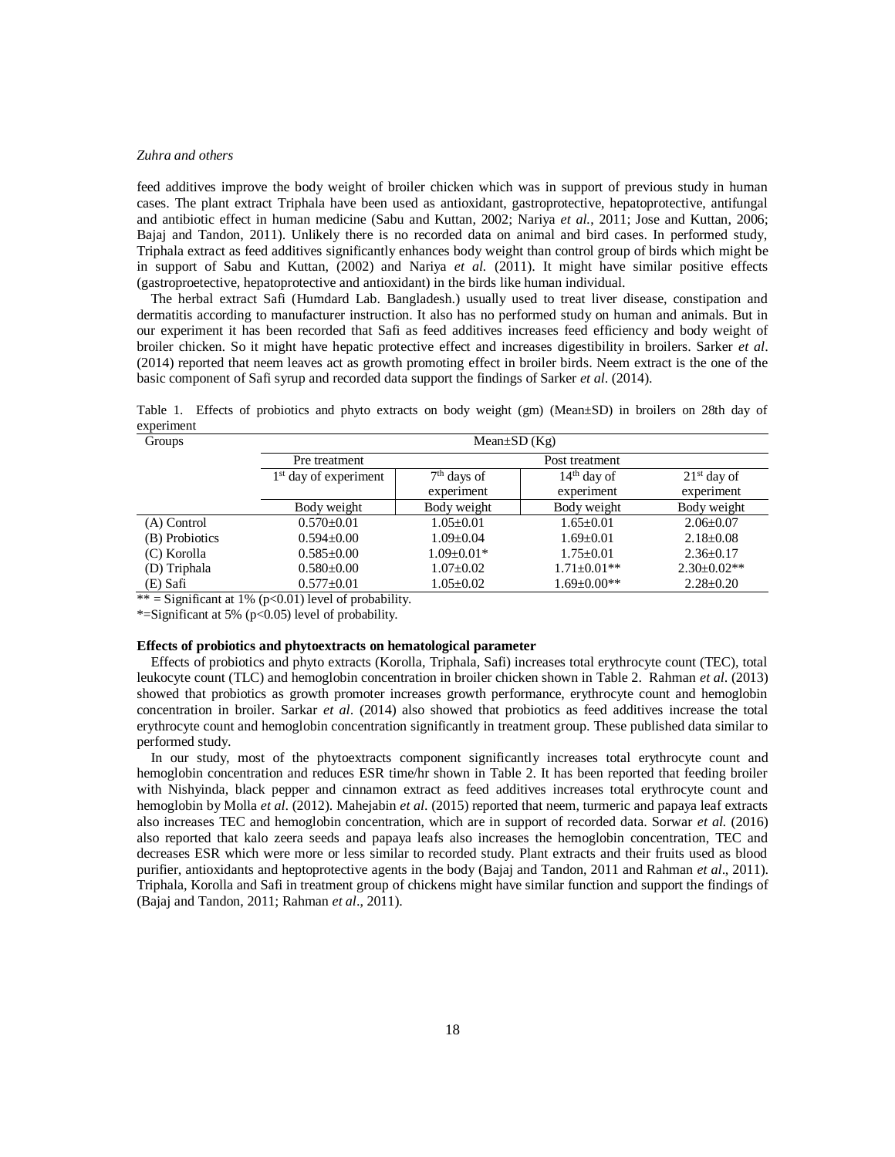feed additives improve the body weight of broiler chicken which was in support of previous study in human cases. The plant extract Triphala have been used as antioxidant, gastroprotective, hepatoprotective, antifungal and antibiotic effect in human medicine (Sabu and Kuttan, 2002; Nariya *et al.*, 2011; Jose and Kuttan, 2006; Bajaj and Tandon, 2011). Unlikely there is no recorded data on animal and bird cases. In performed study, Triphala extract as feed additives significantly enhances body weight than control group of birds which might be in support of Sabu and Kuttan, (2002) and Nariya *et al.* (2011). It might have similar positive effects (gastroproetective, hepatoprotective and antioxidant) in the birds like human individual.

 The herbal extract Safi (Humdard Lab. Bangladesh.) usually used to treat liver disease, constipation and dermatitis according to manufacturer instruction. It also has no performed study on human and animals. But in our experiment it has been recorded that Safi as feed additives increases feed efficiency and body weight of broiler chicken. So it might have hepatic protective effect and increases digestibility in broilers. Sarker *et al*. (2014) reported that neem leaves act as growth promoting effect in broiler birds. Neem extract is the one of the basic component of Safi syrup and recorded data support the findings of Sarker *et al*. (2014).

| Groups         |                         | Mean $\pm SD(Kg)$ |                   |                   |  |  |
|----------------|-------------------------|-------------------|-------------------|-------------------|--|--|
|                | Pre treatment           | Post treatment    |                   |                   |  |  |
|                | $1st$ day of experiment | $7th$ days of     | $14th$ day of     | $21st$ day of     |  |  |
|                |                         | experiment        | experiment        | experiment        |  |  |
|                | Body weight             | Body weight       | Body weight       | Body weight       |  |  |
| (A) Control    | $0.570 \pm 0.01$        | $1.05 \pm 0.01$   | $1.65 \pm 0.01$   | $2.06 \pm 0.07$   |  |  |
| (B) Probiotics | $0.594 \pm 0.00$        | $1.09 \pm 0.04$   | $1.69 \pm 0.01$   | $2.18 \pm 0.08$   |  |  |
| (C) Korolla    | $0.585 \pm 0.00$        | $1.09 + 0.01*$    | $1.75 \pm 0.01$   | $2.36 \pm 0.17$   |  |  |
| (D) Triphala   | $0.580 \pm 0.00$        | $1.07 \pm 0.02$   | $1.71 \pm 0.01**$ | $2.30 \pm 0.02**$ |  |  |
| (E) Safi       | $0.577 \pm 0.01$        | $1.05 \pm 0.02$   | $1.69 \pm 0.00**$ | $2.28 \pm 0.20$   |  |  |

Table 1. Effects of probiotics and phyto extracts on body weight (gm) (Mean±SD) in broilers on 28th day of experiment

\*\* = Significant at 1% ( $p$ <0.01) level of probability.

\*=Significant at 5% (p<0.05) level of probability.

## **Effects of probiotics and phytoextracts on hematological parameter**

 Effects of probiotics and phyto extracts (Korolla, Triphala, Safi) increases total erythrocyte count (TEC), total leukocyte count (TLC) and hemoglobin concentration in broiler chicken shown in Table 2. Rahman *et al*. (2013) showed that probiotics as growth promoter increases growth performance, erythrocyte count and hemoglobin concentration in broiler. Sarkar *et al*. (2014) also showed that probiotics as feed additives increase the total erythrocyte count and hemoglobin concentration significantly in treatment group. These published data similar to performed study.

 In our study, most of the phytoextracts component significantly increases total erythrocyte count and hemoglobin concentration and reduces ESR time/hr shown in Table 2. It has been reported that feeding broiler with Nishyinda, black pepper and cinnamon extract as feed additives increases total erythrocyte count and hemoglobin by Molla *et al*. (2012). Mahejabin *et al*. (2015) reported that neem, turmeric and papaya leaf extracts also increases TEC and hemoglobin concentration, which are in support of recorded data. Sorwar *et al.* (2016) also reported that kalo zeera seeds and papaya leafs also increases the hemoglobin concentration, TEC and decreases ESR which were more or less similar to recorded study. Plant extracts and their fruits used as blood purifier, antioxidants and heptoprotective agents in the body (Bajaj and Tandon, 2011 and Rahman *et al*., 2011). Triphala, Korolla and Safi in treatment group of chickens might have similar function and support the findings of (Bajaj and Tandon, 2011; Rahman *et al*., 2011).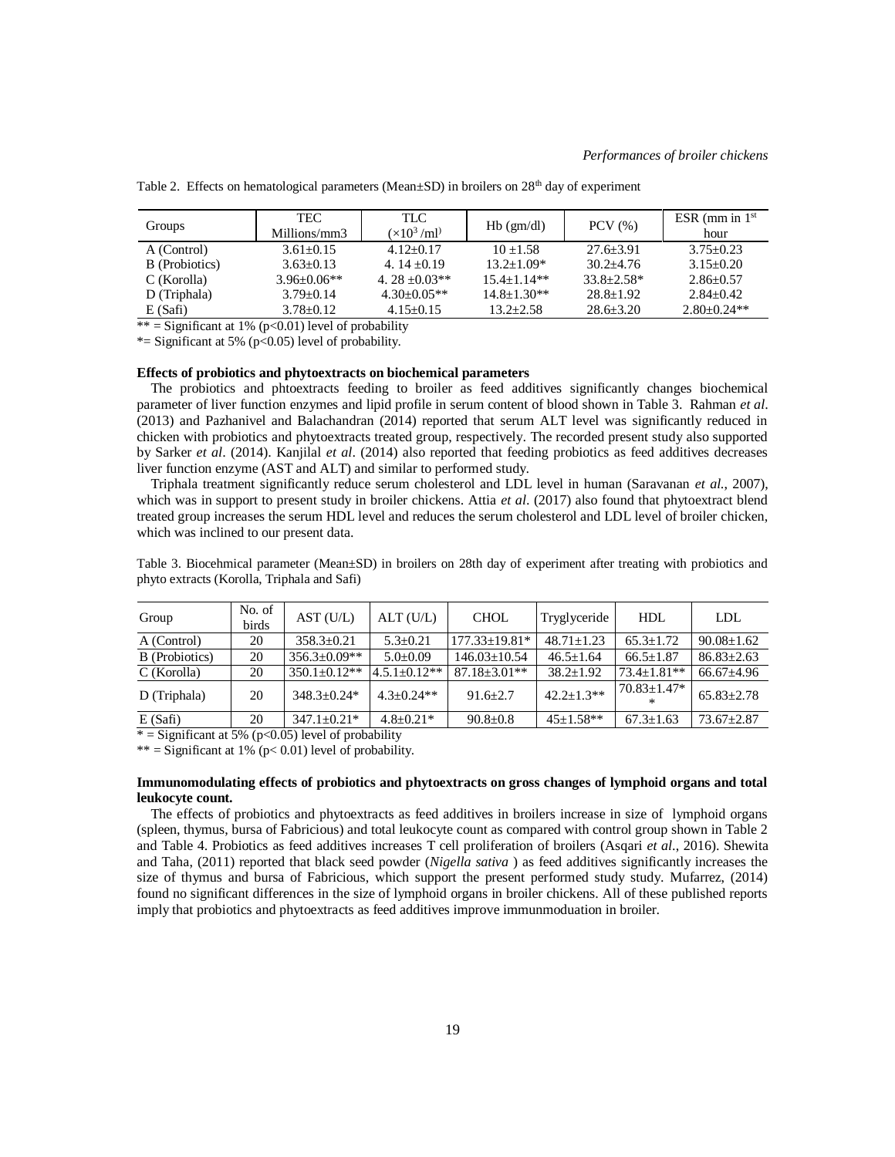| Groups         | TEC-<br>Millions/mm3 | TLC.<br>$(x10^3/m!)$ | $Hb$ (gm/dl)    | $PCV$ $(\% )$  | ESR (mm in $1st$<br>hour |
|----------------|----------------------|----------------------|-----------------|----------------|--------------------------|
| A (Control)    | $3.61 + 0.15$        | $4.12+0.17$          | $10 + 1.58$     | $27.6 + 3.91$  | $3.75 + 0.23$            |
| B (Probiotics) | $3.63+0.13$          | 4. $14 + 0.19$       | $13.2 + 1.09*$  | $30.2 + 4.76$  | $3.15 + 0.20$            |
| C (Korolla)    | $3.96 + 0.06**$      | 4. $28 + 0.03**$     | $15.4 + 1.14**$ | $33.8 + 2.58*$ | $2.86 + 0.57$            |
| D (Triphala)   | $3.79 + 0.14$        | $4.30+0.05**$        | $14.8 + 1.30**$ | $28.8 + 1.92$  | $2.84 + 0.42$            |
| E(Safi)        | $3.78 + 0.12$        | $4.15 + 0.15$        | $13.2 + 2.58$   | $28.6 + 3.20$  | $2.80+0.24**$            |

Table 2. Effects on hematological parameters (Mean $\pm$ SD) in broilers on 28<sup>th</sup> day of experiment

\*\* = Significant at 1% ( $p$ <0.01) level of probability

\*= Significant at 5% ( $p$ <0.05) level of probability.

#### **Effects of probiotics and phytoextracts on biochemical parameters**

 The probiotics and phtoextracts feeding to broiler as feed additives significantly changes biochemical parameter of liver function enzymes and lipid profile in serum content of blood shown in Table 3. Rahman *et al*. (2013) and Pazhanivel and Balachandran (2014) reported that serum ALT level was significantly reduced in chicken with probiotics and phytoextracts treated group, respectively. The recorded present study also supported by Sarker *et al*. (2014). Kanjilal *et al*. (2014) also reported that feeding probiotics as feed additives decreases liver function enzyme (AST and ALT) and similar to performed study.

 Triphala treatment significantly reduce serum cholesterol and LDL level in human (Saravanan *et al*., 2007), which was in support to present study in broiler chickens. Attia *et al.* (2017) also found that phytoextract blend treated group increases the serum HDL level and reduces the serum cholesterol and LDL level of broiler chicken, which was inclined to our present data.

| Group          | No. of<br>birds | AST (U/L)          | $ALT$ (U/L)      | <b>CHOL</b>       | Tryglyceride     | HDL                 | LDL.             |
|----------------|-----------------|--------------------|------------------|-------------------|------------------|---------------------|------------------|
| A (Control)    | 20              | $358.3 + 0.21$     | $5.3 + 0.21$     | $177.33 + 19.81*$ | $48.71 + 1.23$   | $65.3 + 1.72$       | $90.08 + 1.62$   |
| B (Probiotics) | 20              | $356.3 \pm 0.09**$ | $5.0 \pm 0.09$   | $146.03+10.54$    | $46.5 + 1.64$    | $66.5 + 1.87$       | $86.83 + 2.63$   |
| C(Korolla)     | 20              | $350.1 + 0.12**$   | $4.5.1 + 0.12**$ | $87.18 + 3.01$ ** | $38.2 \pm 1.92$  | $73.4 + 1.81**$     | $66.67 \pm 4.96$ |
| D (Triphala)   | 20              | $348.3 + 0.24*$    | $4.3 + 0.24**$   | $91.6 + 2.7$      | $42.2 + 1.3**$   | $170.83 \pm 1.47^*$ | $65.83 + 2.78$   |
| E(Safi)        | 20              | $347.1 \pm 0.21*$  | $4.8 + 0.21*$    | $90.8 \pm 0.8$    | $45 \pm 1.58$ ** | $67.3 \pm 1.63$     | $73.67 \pm 2.87$ |

Table 3. Biocehmical parameter (Mean±SD) in broilers on 28th day of experiment after treating with probiotics and phyto extracts (Korolla, Triphala and Safi)

 $\overline{\ast}$  = Significant at 5% (p<0.05) level of probability

\*\* = Significant at 1% ( $p$ < 0.01) level of probability.

# **Immunomodulating effects of probiotics and phytoextracts on gross changes of lymphoid organs and total leukocyte count.**

 The effects of probiotics and phytoextracts as feed additives in broilers increase in size of lymphoid organs (spleen, thymus, bursa of Fabricious) and total leukocyte count as compared with control group shown in Table 2 and Table 4. Probiotics as feed additives increases T cell proliferation of broilers (Asqari *et al*., 2016). Shewita and Taha, (2011) reported that black seed powder (*Nigella sativa* ) as feed additives significantly increases the size of thymus and bursa of Fabricious, which support the present performed study study. Mufarrez, (2014) found no significant differences in the size of lymphoid organs in broiler chickens. All of these published reports imply that probiotics and phytoextracts as feed additives improve immunmoduation in broiler.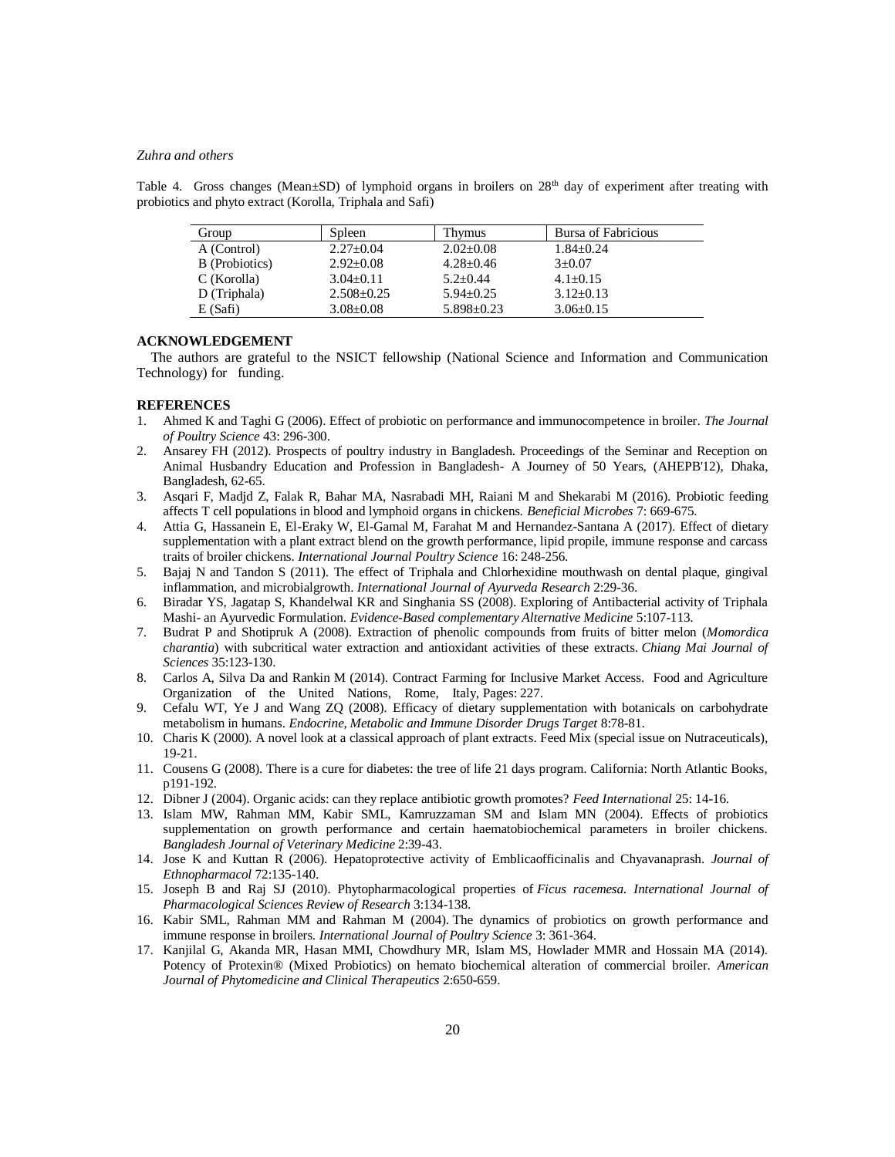Table 4. Gross changes (Mean $\pm$ SD) of lymphoid organs in broilers on 28<sup>th</sup> day of experiment after treating with probiotics and phyto extract (Korolla, Triphala and Safi)

| Group          | Spleen          | Thvmus           | Bursa of Fabricious |
|----------------|-----------------|------------------|---------------------|
| A (Control)    | $2.27 \pm 0.04$ | $2.02 \pm 0.08$  | $1.84 + 0.24$       |
| B (Probiotics) | $2.92+0.08$     | $4.28 + 0.46$    | $3+0.07$            |
| C(Korolla)     | $3.04 + 0.11$   | $5.2+0.44$       | $4.1 + 0.15$        |
| D (Triphala)   | $2.508 + 0.25$  | $5.94 + 0.25$    | $3.12 + 0.13$       |
| E(Safi)        | $3.08 \pm 0.08$ | $5.898 \pm 0.23$ | $3.06 \pm 0.15$     |

## **ACKNOWLEDGEMENT**

 The authors are grateful to the NSICT fellowship (National Science and Information and Communication Technology) for funding.

### **REFERENCES**

- 1. Ahmed K and Taghi G (2006). Effect of probiotic on performance and immunocompetence in broiler. *The Journal of Poultry Science* 43: 296-300.
- 2. Ansarey FH (2012). Prospects of poultry industry in Bangladesh. Proceedings of the Seminar and Reception on Animal Husbandry Education and Profession in Bangladesh- A Journey of 50 Years, (AHEPB'12), Dhaka, Bangladesh, 62-65.
- 3. Asqari F, Madjd Z, Falak R, Bahar MA, Nasrabadi MH, Raiani M and Shekarabi M (2016). Probiotic feeding affects T cell populations in blood and lymphoid organs in chickens. *Beneficial Microbes* 7: 669-675.
- 4. Attia G, Hassanein E, El-Eraky W, El-Gamal M, Farahat M and Hernandez-Santana A (2017). Effect of dietary supplementation with a plant extract blend on the growth performance, lipid propile, immune response and carcass traits of broiler chickens. *International Journal Poultry Science* 16: 248-256.
- 5. Bajaj N and Tandon S (2011). The effect of Triphala and Chlorhexidine mouthwash on dental plaque, gingival inflammation, and microbialgrowth. *International Journal of Ayurveda Research* 2:29-36.
- 6. Biradar YS, Jagatap S, Khandelwal KR and Singhania SS (2008). Exploring of Antibacterial activity of Triphala Mashi- an Ayurvedic Formulation. *Evidence-Based complementary Alternative Medicine* 5:107-113.
- 7. Budrat P and Shotipruk A (2008). Extraction of phenolic compounds from fruits of bitter melon (*Momordica charantia*) with subcritical water extraction and antioxidant activities of these extracts. *Chiang Mai Journal of Sciences* 35:123-130.
- 8. Carlos A, Silva Da and Rankin M (2014). Contract Farming for Inclusive Market Access. Food and Agriculture Organization of the United Nations, Rome, Italy, Pages: 227.
- 9. Cefalu WT, Ye J and Wang ZQ (2008). Efficacy of dietary supplementation with botanicals on carbohydrate metabolism in humans. *Endocrine, Metabolic and Immune Disorder Drugs Target* 8:78-81.
- 10. Charis K (2000). A novel look at a classical approach of plant extracts. Feed Mix (special issue on Nutraceuticals), 19-21.
- 11. Cousens G (2008). There is a cure for diabetes: the tree of life 21 days program. California: North Atlantic Books, p191-192.
- 12. Dibner J (2004). Organic acids: can they replace antibiotic growth promotes? *Feed International* 25: 14-16.
- 13. Islam MW, Rahman MM, Kabir SML, Kamruzzaman SM and Islam MN (2004). Effects of probiotics supplementation on growth performance and certain haematobiochemical parameters in broiler chickens. *Bangladesh Journal of Veterinary Medicine* 2:39-43.
- 14. Jose K and Kuttan R (2006). Hepatoprotective activity of Emblicaofficinalis and Chyavanaprash. *Journal of Ethnopharmacol* 72:135-140.
- 15. Joseph B and Raj SJ (2010). Phytopharmacological properties of *Ficus racemesa. International Journal of Pharmacological Sciences Review of Research* 3:134-138.
- 16. Kabir SML, Rahman MM and Rahman M (2004). The dynamics of probiotics on growth performance and immune response in broilers. *International Journal of Poultry Science* 3: 361-364.
- 17. Kanjilal G, Akanda MR, Hasan MMI, Chowdhury MR, Islam MS, Howlader MMR and Hossain MA (2014). Potency of Protexin® (Mixed Probiotics) on hemato biochemical alteration of commercial broiler. *American Journal of Phytomedicine and Clinical Therapeutics* 2:650-659.